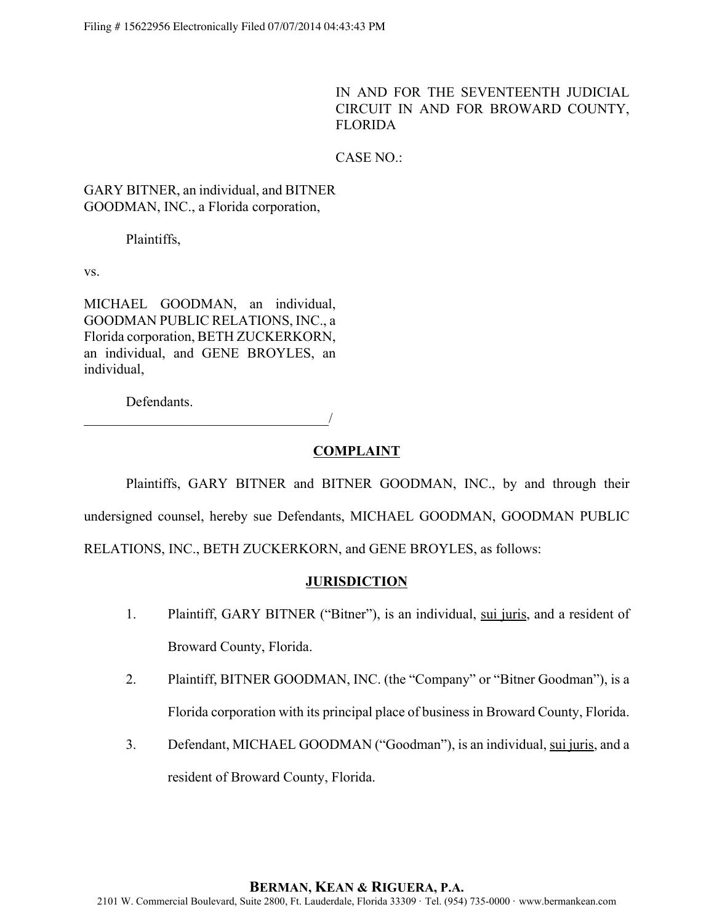IN AND FOR THE SEVENTEENTH JUDICIAL CIRCUIT IN AND FOR BROWARD COUNTY, FLORIDA

CASE NO.:

GARY BITNER, an individual, and BITNER GOODMAN, INC., a Florida corporation,

Plaintiffs,

vs.

MICHAEL GOODMAN, an individual, GOODMAN PUBLIC RELATIONS, INC., a Florida corporation, BETH ZUCKERKORN, an individual, and GENE BROYLES, an individual,

Defendants.

 $\overline{\phantom{a}}$ 

### **COMPLAINT**

Plaintiffs, GARY BITNER and BITNER GOODMAN, INC., by and through their undersigned counsel, hereby sue Defendants, MICHAEL GOODMAN, GOODMAN PUBLIC RELATIONS, INC., BETH ZUCKERKORN, and GENE BROYLES, as follows:

### **JURISDICTION**

- 1. Plaintiff, GARY BITNER ("Bitner"), is an individual, sui juris, and a resident of Broward County, Florida.
- 2. Plaintiff, BITNER GOODMAN, INC. (the "Company" or "Bitner Goodman"), is a Florida corporation with its principal place of business in Broward County, Florida.
- 3. Defendant, MICHAEL GOODMAN ("Goodman"), is an individual, sui juris, and a resident of Broward County, Florida.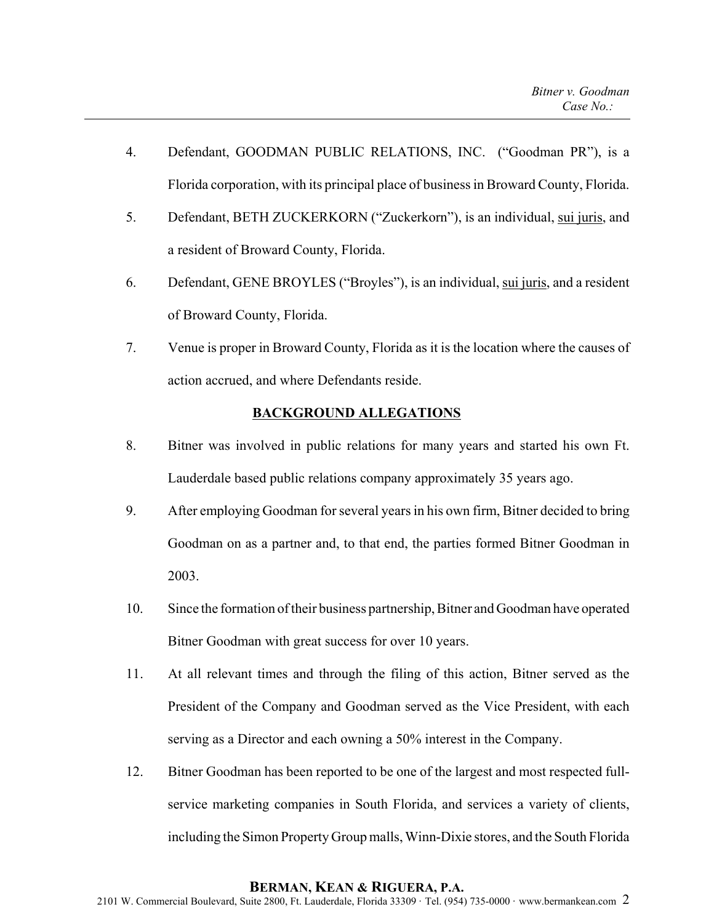- 4. Defendant, GOODMAN PUBLIC RELATIONS, INC. ("Goodman PR"), is a Florida corporation, with its principal place of business in Broward County, Florida.
- 5. Defendant, BETH ZUCKERKORN ("Zuckerkorn"), is an individual, sui juris, and a resident of Broward County, Florida.
- 6. Defendant, GENE BROYLES ("Broyles"), is an individual, sui juris, and a resident of Broward County, Florida.
- 7. Venue is proper in Broward County, Florida as it is the location where the causes of action accrued, and where Defendants reside.

# **BACKGROUND ALLEGATIONS**

- 8. Bitner was involved in public relations for many years and started his own Ft. Lauderdale based public relations company approximately 35 years ago.
- 9. After employing Goodman for several years in his own firm, Bitner decided to bring Goodman on as a partner and, to that end, the parties formed Bitner Goodman in 2003.
- 10. Since the formation of their business partnership, Bitner and Goodman have operated Bitner Goodman with great success for over 10 years.
- 11. At all relevant times and through the filing of this action, Bitner served as the President of the Company and Goodman served as the Vice President, with each serving as a Director and each owning a 50% interest in the Company.
- 12. Bitner Goodman has been reported to be one of the largest and most respected fullservice marketing companies in South Florida, and services a variety of clients, including the Simon Property Group malls, Winn-Dixie stores, and the South Florida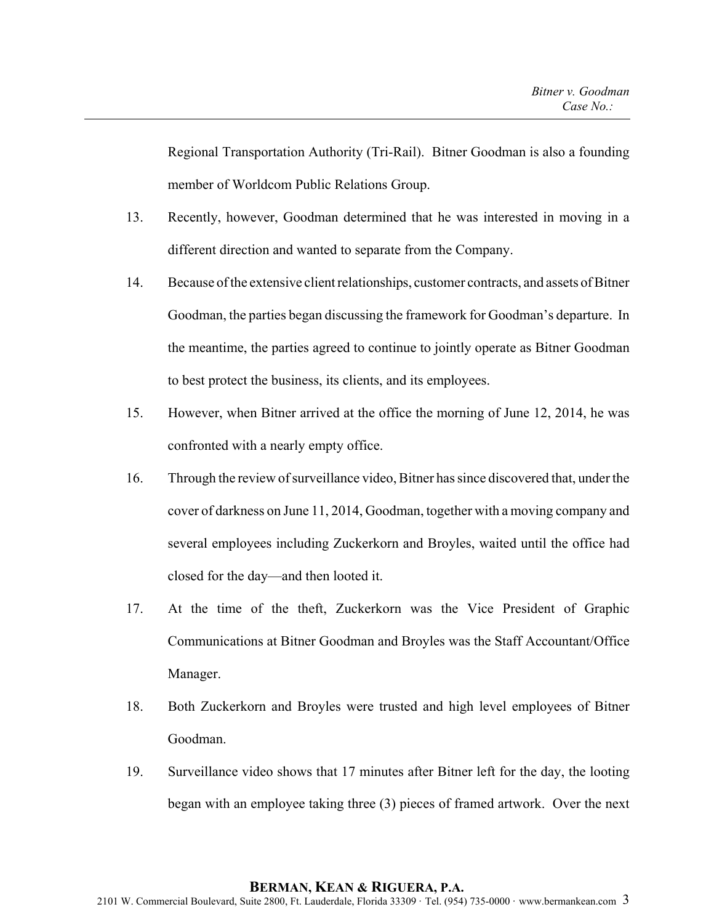Regional Transportation Authority (Tri-Rail). Bitner Goodman is also a founding member of Worldcom Public Relations Group.

- 13. Recently, however, Goodman determined that he was interested in moving in a different direction and wanted to separate from the Company.
- 14. Because of the extensive client relationships, customer contracts, and assets of Bitner Goodman, the parties began discussing the framework for Goodman's departure. In the meantime, the parties agreed to continue to jointly operate as Bitner Goodman to best protect the business, its clients, and its employees.
- 15. However, when Bitner arrived at the office the morning of June 12, 2014, he was confronted with a nearly empty office.
- 16. Through the review of surveillance video, Bitner has since discovered that, under the cover of darkness on June 11, 2014, Goodman, together with a moving company and several employees including Zuckerkorn and Broyles, waited until the office had closed for the day—and then looted it.
- 17. At the time of the theft, Zuckerkorn was the Vice President of Graphic Communications at Bitner Goodman and Broyles was the Staff Accountant/Office Manager.
- 18. Both Zuckerkorn and Broyles were trusted and high level employees of Bitner Goodman.
- 19. Surveillance video shows that 17 minutes after Bitner left for the day, the looting began with an employee taking three (3) pieces of framed artwork. Over the next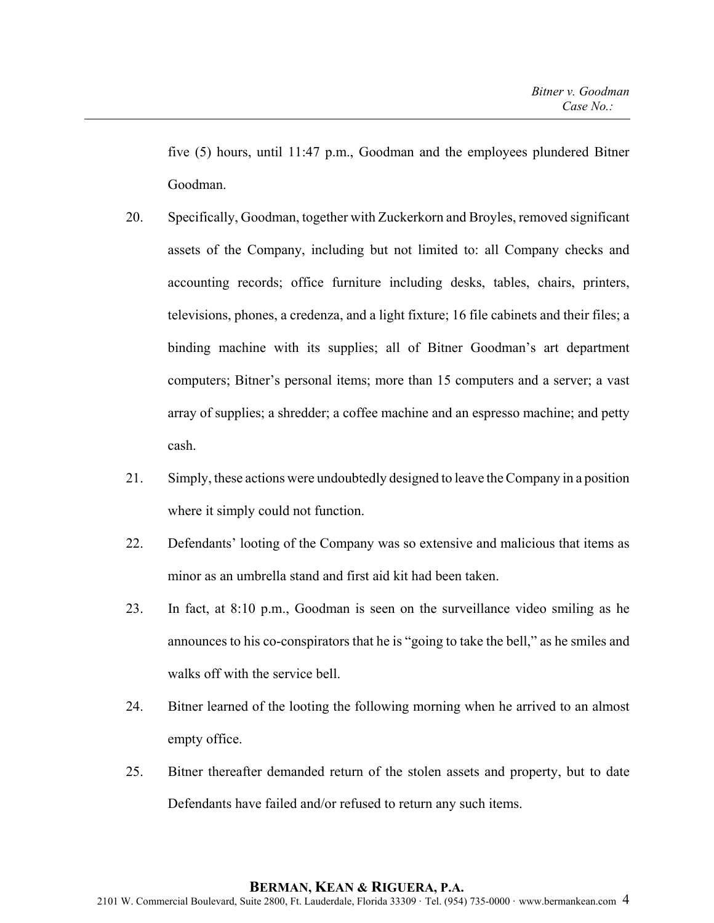five (5) hours, until 11:47 p.m., Goodman and the employees plundered Bitner Goodman.

- 20. Specifically, Goodman, together with Zuckerkorn and Broyles, removed significant assets of the Company, including but not limited to: all Company checks and accounting records; office furniture including desks, tables, chairs, printers, televisions, phones, a credenza, and a light fixture; 16 file cabinets and their files; a binding machine with its supplies; all of Bitner Goodman's art department computers; Bitner's personal items; more than 15 computers and a server; a vast array of supplies; a shredder; a coffee machine and an espresso machine; and petty cash.
- 21. Simply, these actions were undoubtedly designed to leave the Company in a position where it simply could not function.
- 22. Defendants' looting of the Company was so extensive and malicious that items as minor as an umbrella stand and first aid kit had been taken.
- 23. In fact, at 8:10 p.m., Goodman is seen on the surveillance video smiling as he announces to his co-conspirators that he is "going to take the bell," as he smiles and walks off with the service bell.
- 24. Bitner learned of the looting the following morning when he arrived to an almost empty office.
- 25. Bitner thereafter demanded return of the stolen assets and property, but to date Defendants have failed and/or refused to return any such items.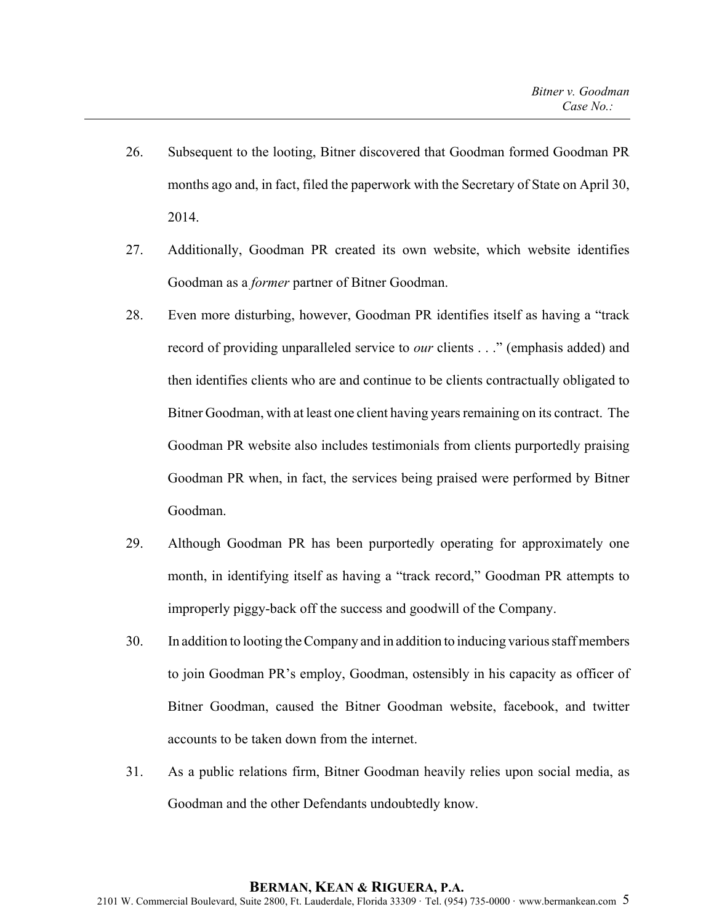- 26. Subsequent to the looting, Bitner discovered that Goodman formed Goodman PR months ago and, in fact, filed the paperwork with the Secretary of State on April 30, 2014.
- 27. Additionally, Goodman PR created its own website, which website identifies Goodman as a *former* partner of Bitner Goodman.
- 28. Even more disturbing, however, Goodman PR identifies itself as having a "track record of providing unparalleled service to *our* clients . . ." (emphasis added) and then identifies clients who are and continue to be clients contractually obligated to Bitner Goodman, with at least one client having years remaining on its contract. The Goodman PR website also includes testimonials from clients purportedly praising Goodman PR when, in fact, the services being praised were performed by Bitner Goodman.
- 29. Although Goodman PR has been purportedly operating for approximately one month, in identifying itself as having a "track record," Goodman PR attempts to improperly piggy-back off the success and goodwill of the Company.
- 30. In addition to looting the Company and in addition to inducing various staff members to join Goodman PR's employ, Goodman, ostensibly in his capacity as officer of Bitner Goodman, caused the Bitner Goodman website, facebook, and twitter accounts to be taken down from the internet.
- 31. As a public relations firm, Bitner Goodman heavily relies upon social media, as Goodman and the other Defendants undoubtedly know.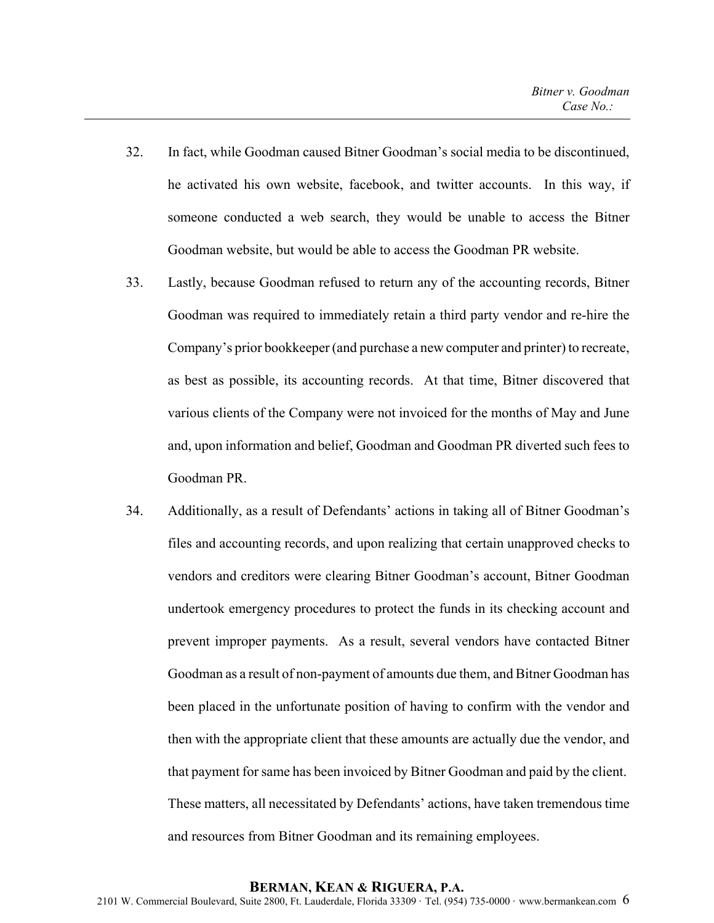- 32. In fact, while Goodman caused Bitner Goodman's social media to be discontinued, he activated his own website, facebook, and twitter accounts. In this way, if someone conducted a web search, they would be unable to access the Bitner Goodman website, but would be able to access the Goodman PR website.
- 33. Lastly, because Goodman refused to return any of the accounting records, Bitner Goodman was required to immediately retain a third party vendor and re-hire the Company's prior bookkeeper (and purchase a new computer and printer) to recreate, as best as possible, its accounting records. At that time, Bitner discovered that various clients of the Company were not invoiced for the months of May and June and, upon information and belief, Goodman and Goodman PR diverted such fees to Goodman PR.
- 34. Additionally, as a result of Defendants' actions in taking all of Bitner Goodman's files and accounting records, and upon realizing that certain unapproved checks to vendors and creditors were clearing Bitner Goodman's account, Bitner Goodman undertook emergency procedures to protect the funds in its checking account and prevent improper payments. As a result, several vendors have contacted Bitner Goodman as a result of non-payment of amounts due them, and Bitner Goodman has been placed in the unfortunate position of having to confirm with the vendor and then with the appropriate client that these amounts are actually due the vendor, and that payment for same has been invoiced by Bitner Goodman and paid by the client. These matters, all necessitated by Defendants' actions, have taken tremendous time and resources from Bitner Goodman and its remaining employees.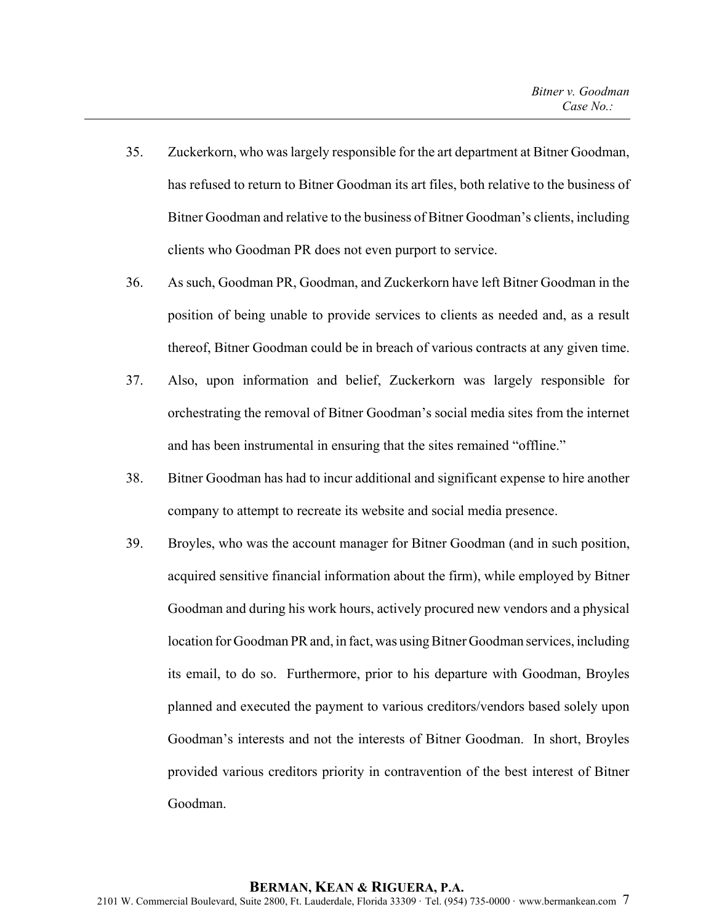- 35. Zuckerkorn, who was largely responsible for the art department at Bitner Goodman, has refused to return to Bitner Goodman its art files, both relative to the business of Bitner Goodman and relative to the business of Bitner Goodman's clients, including clients who Goodman PR does not even purport to service.
- 36. As such, Goodman PR, Goodman, and Zuckerkorn have left Bitner Goodman in the position of being unable to provide services to clients as needed and, as a result thereof, Bitner Goodman could be in breach of various contracts at any given time.
- 37. Also, upon information and belief, Zuckerkorn was largely responsible for orchestrating the removal of Bitner Goodman's social media sites from the internet and has been instrumental in ensuring that the sites remained "offline."
- 38. Bitner Goodman has had to incur additional and significant expense to hire another company to attempt to recreate its website and social media presence.
- 39. Broyles, who was the account manager for Bitner Goodman (and in such position, acquired sensitive financial information about the firm), while employed by Bitner Goodman and during his work hours, actively procured new vendors and a physical location for Goodman PR and, in fact, was using Bitner Goodman services, including its email, to do so. Furthermore, prior to his departure with Goodman, Broyles planned and executed the payment to various creditors/vendors based solely upon Goodman's interests and not the interests of Bitner Goodman. In short, Broyles provided various creditors priority in contravention of the best interest of Bitner Goodman.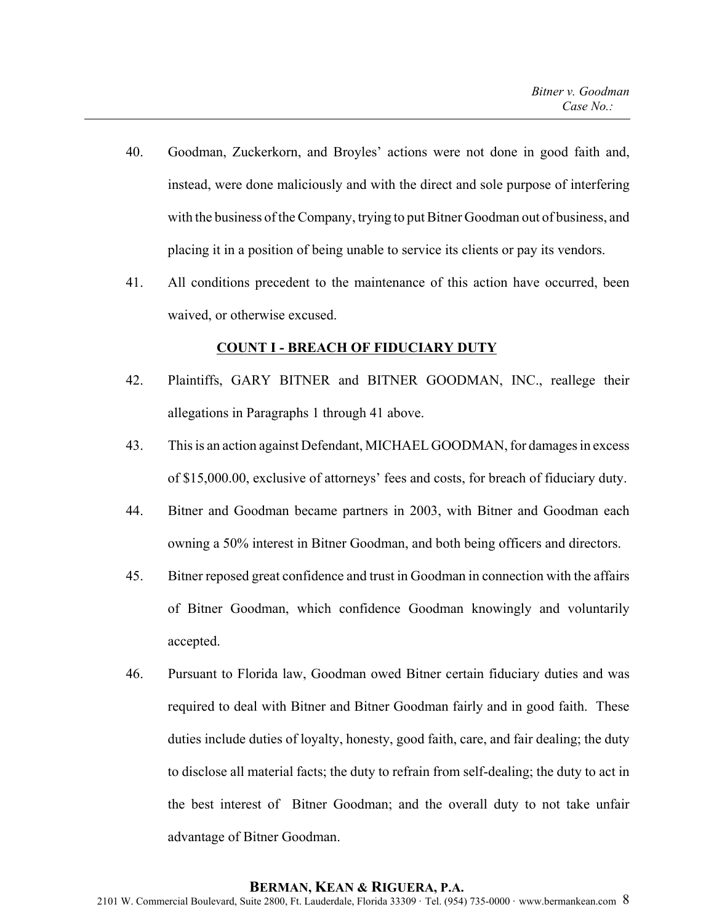- 40. Goodman, Zuckerkorn, and Broyles' actions were not done in good faith and, instead, were done maliciously and with the direct and sole purpose of interfering with the business of the Company, trying to put Bitner Goodman out of business, and placing it in a position of being unable to service its clients or pay its vendors.
- 41. All conditions precedent to the maintenance of this action have occurred, been waived, or otherwise excused.

#### **COUNT I - BREACH OF FIDUCIARY DUTY**

- 42. Plaintiffs, GARY BITNER and BITNER GOODMAN, INC., reallege their allegations in Paragraphs 1 through 41 above.
- 43. This is an action against Defendant, MICHAEL GOODMAN, for damages in excess of \$15,000.00, exclusive of attorneys' fees and costs, for breach of fiduciary duty.
- 44. Bitner and Goodman became partners in 2003, with Bitner and Goodman each owning a 50% interest in Bitner Goodman, and both being officers and directors.
- 45. Bitner reposed great confidence and trust in Goodman in connection with the affairs of Bitner Goodman, which confidence Goodman knowingly and voluntarily accepted.
- 46. Pursuant to Florida law, Goodman owed Bitner certain fiduciary duties and was required to deal with Bitner and Bitner Goodman fairly and in good faith. These duties include duties of loyalty, honesty, good faith, care, and fair dealing; the duty to disclose all material facts; the duty to refrain from self-dealing; the duty to act in the best interest of Bitner Goodman; and the overall duty to not take unfair advantage of Bitner Goodman.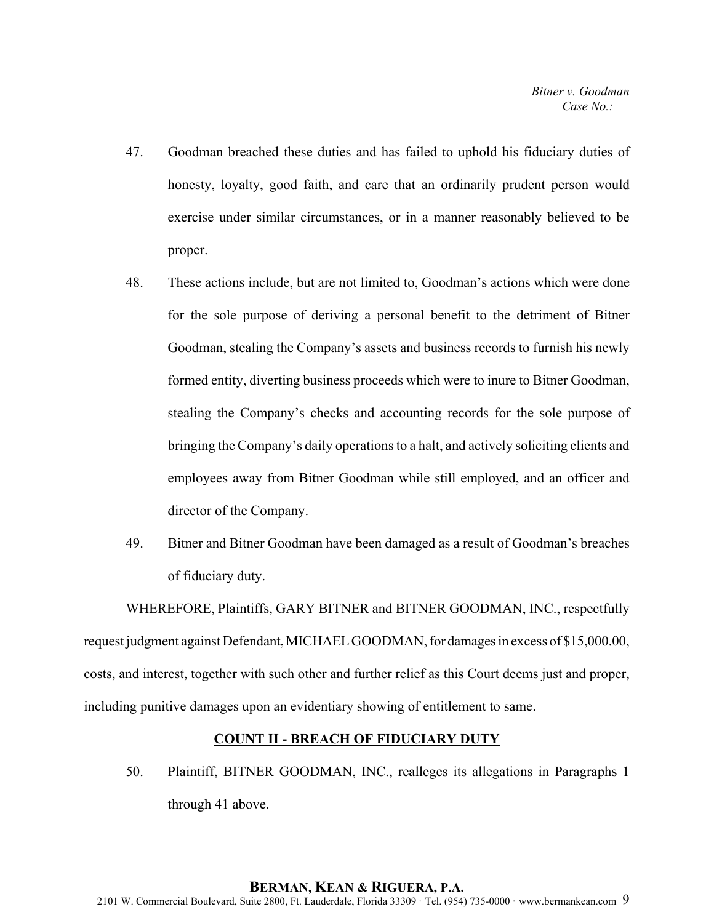- 47. Goodman breached these duties and has failed to uphold his fiduciary duties of honesty, loyalty, good faith, and care that an ordinarily prudent person would exercise under similar circumstances, or in a manner reasonably believed to be proper.
- 48. These actions include, but are not limited to, Goodman's actions which were done for the sole purpose of deriving a personal benefit to the detriment of Bitner Goodman, stealing the Company's assets and business records to furnish his newly formed entity, diverting business proceeds which were to inure to Bitner Goodman, stealing the Company's checks and accounting records for the sole purpose of bringing the Company's daily operations to a halt, and actively soliciting clients and employees away from Bitner Goodman while still employed, and an officer and director of the Company.
- 49. Bitner and Bitner Goodman have been damaged as a result of Goodman's breaches of fiduciary duty.

WHEREFORE, Plaintiffs, GARY BITNER and BITNER GOODMAN, INC., respectfully request judgment against Defendant, MICHAEL GOODMAN, for damages in excess of \$15,000.00, costs, and interest, together with such other and further relief as this Court deems just and proper, including punitive damages upon an evidentiary showing of entitlement to same.

# **COUNT II - BREACH OF FIDUCIARY DUTY**

50. Plaintiff, BITNER GOODMAN, INC., realleges its allegations in Paragraphs 1 through 41 above.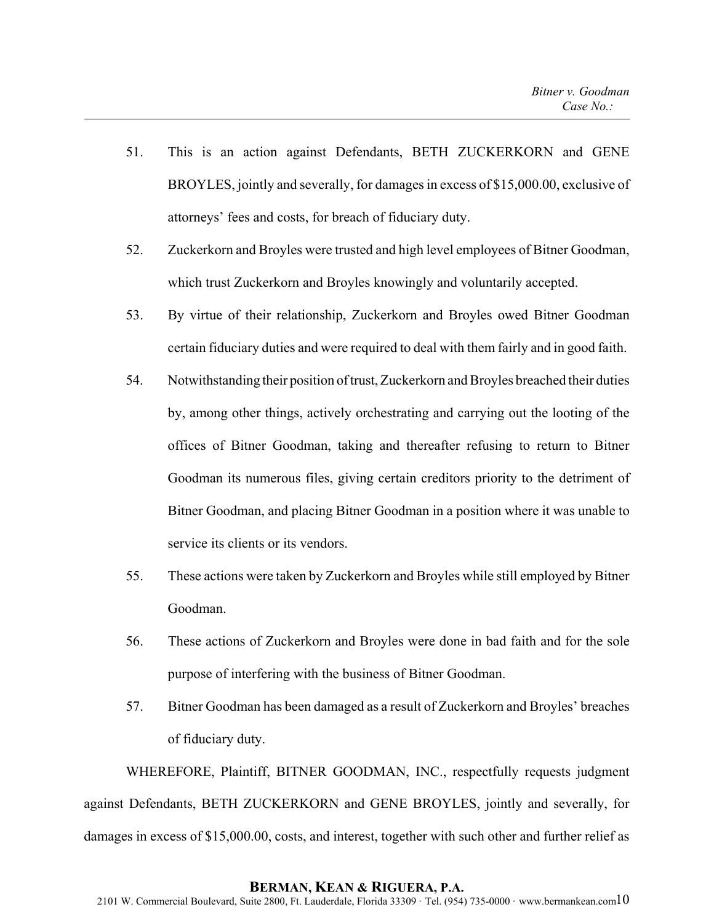- 51. This is an action against Defendants, BETH ZUCKERKORN and GENE BROYLES, jointly and severally, for damages in excess of \$15,000.00, exclusive of attorneys' fees and costs, for breach of fiduciary duty.
- 52. Zuckerkorn and Broyles were trusted and high level employees of Bitner Goodman, which trust Zuckerkorn and Broyles knowingly and voluntarily accepted.
- 53. By virtue of their relationship, Zuckerkorn and Broyles owed Bitner Goodman certain fiduciary duties and were required to deal with them fairly and in good faith.
- 54. Notwithstanding their position of trust, Zuckerkorn and Broyles breached their duties by, among other things, actively orchestrating and carrying out the looting of the offices of Bitner Goodman, taking and thereafter refusing to return to Bitner Goodman its numerous files, giving certain creditors priority to the detriment of Bitner Goodman, and placing Bitner Goodman in a position where it was unable to service its clients or its vendors.
- 55. These actions were taken by Zuckerkorn and Broyles while still employed by Bitner Goodman.
- 56. These actions of Zuckerkorn and Broyles were done in bad faith and for the sole purpose of interfering with the business of Bitner Goodman.
- 57. Bitner Goodman has been damaged as a result of Zuckerkorn and Broyles' breaches of fiduciary duty.

WHEREFORE, Plaintiff, BITNER GOODMAN, INC., respectfully requests judgment against Defendants, BETH ZUCKERKORN and GENE BROYLES, jointly and severally, for damages in excess of \$15,000.00, costs, and interest, together with such other and further relief as

#### **BERMAN, KEAN & RIGUERA, P.A.**

2101 W. Commercial Boulevard, Suite 2800, Ft. Lauderdale, Florida 33309 · Tel. (954) 735-0000 · www.bermankean.com $10$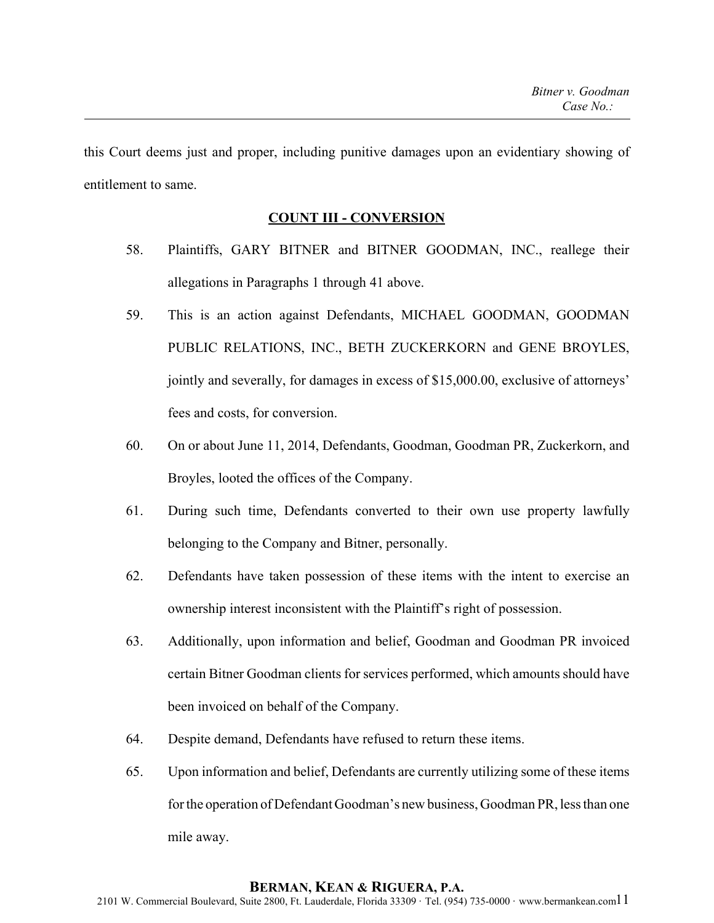this Court deems just and proper, including punitive damages upon an evidentiary showing of entitlement to same.

### **COUNT III - CONVERSION**

- 58. Plaintiffs, GARY BITNER and BITNER GOODMAN, INC., reallege their allegations in Paragraphs 1 through 41 above.
- 59. This is an action against Defendants, MICHAEL GOODMAN, GOODMAN PUBLIC RELATIONS, INC., BETH ZUCKERKORN and GENE BROYLES, jointly and severally, for damages in excess of \$15,000.00, exclusive of attorneys' fees and costs, for conversion.
- 60. On or about June 11, 2014, Defendants, Goodman, Goodman PR, Zuckerkorn, and Broyles, looted the offices of the Company.
- 61. During such time, Defendants converted to their own use property lawfully belonging to the Company and Bitner, personally.
- 62. Defendants have taken possession of these items with the intent to exercise an ownership interest inconsistent with the Plaintiff's right of possession.
- 63. Additionally, upon information and belief, Goodman and Goodman PR invoiced certain Bitner Goodman clients for services performed, which amounts should have been invoiced on behalf of the Company.
- 64. Despite demand, Defendants have refused to return these items.
- 65. Upon information and belief, Defendants are currently utilizing some of these items for the operation of Defendant Goodman's new business, Goodman PR, less than one mile away.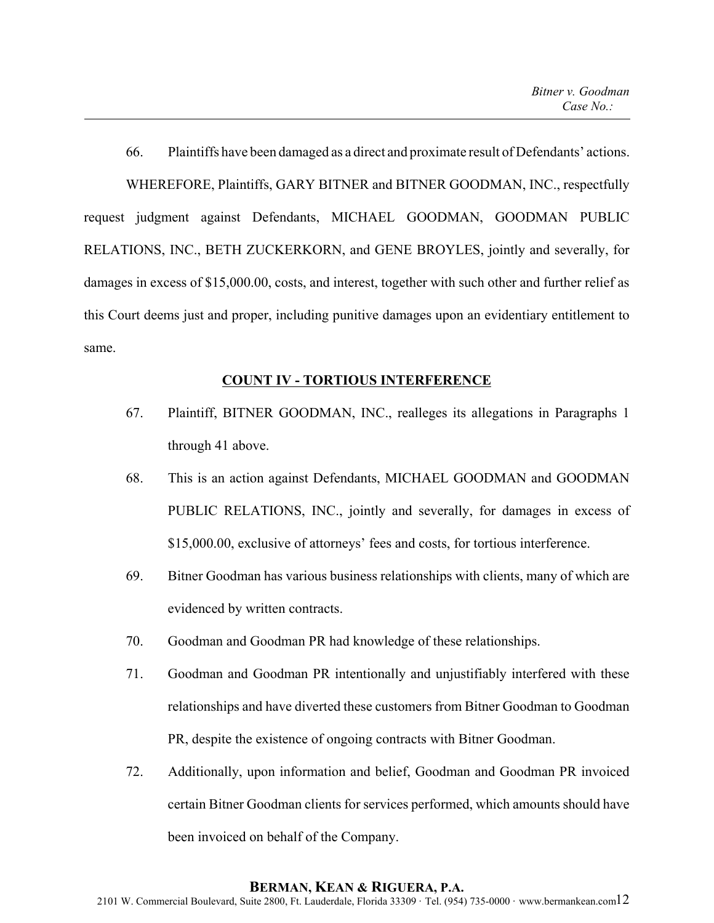66. Plaintiffs have been damaged as a direct and proximate result of Defendants' actions. WHEREFORE, Plaintiffs, GARY BITNER and BITNER GOODMAN, INC., respectfully request judgment against Defendants, MICHAEL GOODMAN, GOODMAN PUBLIC RELATIONS, INC., BETH ZUCKERKORN, and GENE BROYLES, jointly and severally, for damages in excess of \$15,000.00, costs, and interest, together with such other and further relief as this Court deems just and proper, including punitive damages upon an evidentiary entitlement to same.

### **COUNT IV - TORTIOUS INTERFERENCE**

- 67. Plaintiff, BITNER GOODMAN, INC., realleges its allegations in Paragraphs 1 through 41 above.
- 68. This is an action against Defendants, MICHAEL GOODMAN and GOODMAN PUBLIC RELATIONS, INC., jointly and severally, for damages in excess of \$15,000.00, exclusive of attorneys' fees and costs, for tortious interference.
- 69. Bitner Goodman has various business relationships with clients, many of which are evidenced by written contracts.
- 70. Goodman and Goodman PR had knowledge of these relationships.
- 71. Goodman and Goodman PR intentionally and unjustifiably interfered with these relationships and have diverted these customers from Bitner Goodman to Goodman PR, despite the existence of ongoing contracts with Bitner Goodman.
- 72. Additionally, upon information and belief, Goodman and Goodman PR invoiced certain Bitner Goodman clients for services performed, which amounts should have been invoiced on behalf of the Company.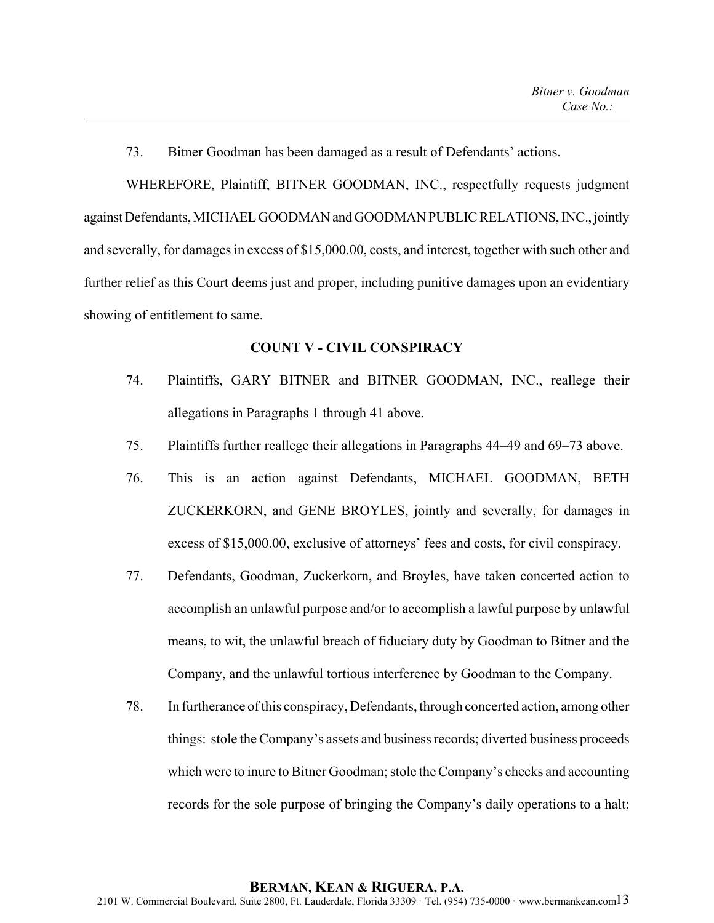73. Bitner Goodman has been damaged as a result of Defendants' actions.

WHEREFORE, Plaintiff, BITNER GOODMAN, INC., respectfully requests judgment against Defendants, MICHAEL GOODMAN and GOODMAN PUBLIC RELATIONS, INC., jointly and severally, for damages in excess of \$15,000.00, costs, and interest, together with such other and further relief as this Court deems just and proper, including punitive damages upon an evidentiary showing of entitlement to same.

#### **COUNT V - CIVIL CONSPIRACY**

- 74. Plaintiffs, GARY BITNER and BITNER GOODMAN, INC., reallege their allegations in Paragraphs 1 through 41 above.
- 75. Plaintiffs further reallege their allegations in Paragraphs 44–49 and 69–73 above.
- 76. This is an action against Defendants, MICHAEL GOODMAN, BETH ZUCKERKORN, and GENE BROYLES, jointly and severally, for damages in excess of \$15,000.00, exclusive of attorneys' fees and costs, for civil conspiracy.
- 77. Defendants, Goodman, Zuckerkorn, and Broyles, have taken concerted action to accomplish an unlawful purpose and/or to accomplish a lawful purpose by unlawful means, to wit, the unlawful breach of fiduciary duty by Goodman to Bitner and the Company, and the unlawful tortious interference by Goodman to the Company.
- 78. In furtherance of this conspiracy, Defendants, through concerted action, among other things: stole the Company's assets and business records; diverted business proceeds which were to inure to Bitner Goodman; stole the Company's checks and accounting records for the sole purpose of bringing the Company's daily operations to a halt;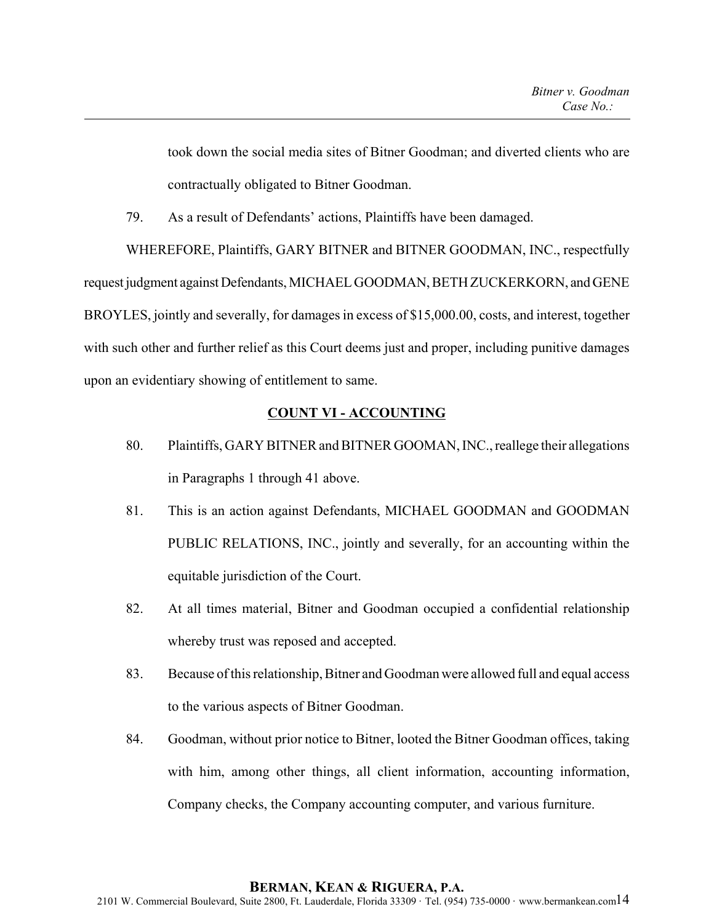took down the social media sites of Bitner Goodman; and diverted clients who are contractually obligated to Bitner Goodman.

79. As a result of Defendants' actions, Plaintiffs have been damaged.

WHEREFORE, Plaintiffs, GARY BITNER and BITNER GOODMAN, INC., respectfully request judgment against Defendants, MICHAEL GOODMAN, BETH ZUCKERKORN, and GENE BROYLES, jointly and severally, for damages in excess of \$15,000.00, costs, and interest, together with such other and further relief as this Court deems just and proper, including punitive damages upon an evidentiary showing of entitlement to same.

# **COUNT VI - ACCOUNTING**

- 80. Plaintiffs, GARY BITNER and BITNER GOOMAN, INC., reallege their allegations in Paragraphs 1 through 41 above.
- 81. This is an action against Defendants, MICHAEL GOODMAN and GOODMAN PUBLIC RELATIONS, INC., jointly and severally, for an accounting within the equitable jurisdiction of the Court.
- 82. At all times material, Bitner and Goodman occupied a confidential relationship whereby trust was reposed and accepted.
- 83. Because of this relationship, Bitner and Goodman were allowed full and equal access to the various aspects of Bitner Goodman.
- 84. Goodman, without prior notice to Bitner, looted the Bitner Goodman offices, taking with him, among other things, all client information, accounting information, Company checks, the Company accounting computer, and various furniture.